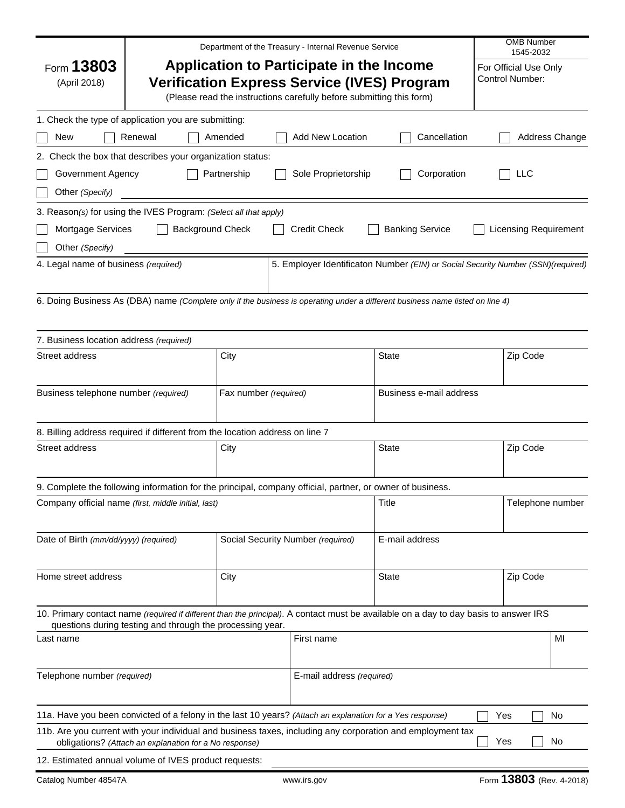|                                                                                                                                                                                                      |                                                                                                           |                                   | Department of the Treasury - Internal Revenue Service |                                                                                                                                      | <b>OMB Number</b><br>1545-2032           |  |
|------------------------------------------------------------------------------------------------------------------------------------------------------------------------------------------------------|-----------------------------------------------------------------------------------------------------------|-----------------------------------|-------------------------------------------------------|--------------------------------------------------------------------------------------------------------------------------------------|------------------------------------------|--|
| Application to Participate in the Income<br>Form 13803<br><b>Verification Express Service (IVES) Program</b><br>(April 2018)<br>(Please read the instructions carefully before submitting this form) |                                                                                                           |                                   |                                                       |                                                                                                                                      | For Official Use Only<br>Control Number: |  |
|                                                                                                                                                                                                      | 1. Check the type of application you are submitting:                                                      |                                   |                                                       |                                                                                                                                      |                                          |  |
| New                                                                                                                                                                                                  | Renewal                                                                                                   | Amended                           | <b>Add New Location</b>                               | Cancellation                                                                                                                         | Address Change                           |  |
|                                                                                                                                                                                                      | 2. Check the box that describes your organization status:                                                 |                                   |                                                       |                                                                                                                                      |                                          |  |
| Government Agency                                                                                                                                                                                    |                                                                                                           | Partnership                       | Sole Proprietorship                                   | Corporation                                                                                                                          | LLC                                      |  |
| Other (Specify)                                                                                                                                                                                      |                                                                                                           |                                   |                                                       |                                                                                                                                      |                                          |  |
|                                                                                                                                                                                                      | 3. Reason(s) for using the IVES Program: (Select all that apply)                                          |                                   |                                                       |                                                                                                                                      |                                          |  |
| Mortgage Services                                                                                                                                                                                    | <b>Background Check</b>                                                                                   |                                   | <b>Credit Check</b>                                   | <b>Banking Service</b>                                                                                                               | <b>Licensing Requirement</b>             |  |
| Other (Specify)                                                                                                                                                                                      |                                                                                                           |                                   |                                                       |                                                                                                                                      |                                          |  |
| 4. Legal name of business (required)                                                                                                                                                                 |                                                                                                           |                                   |                                                       | 5. Employer Identificaton Number (EIN) or Social Security Number (SSN)(required)                                                     |                                          |  |
|                                                                                                                                                                                                      |                                                                                                           |                                   |                                                       |                                                                                                                                      |                                          |  |
|                                                                                                                                                                                                      |                                                                                                           |                                   |                                                       | 6. Doing Business As (DBA) name (Complete only if the business is operating under a different business name listed on line 4)        |                                          |  |
|                                                                                                                                                                                                      |                                                                                                           |                                   |                                                       |                                                                                                                                      |                                          |  |
| 7. Business location address (required)                                                                                                                                                              |                                                                                                           |                                   |                                                       |                                                                                                                                      |                                          |  |
| Street address                                                                                                                                                                                       |                                                                                                           | City                              |                                                       | State                                                                                                                                | Zip Code                                 |  |
|                                                                                                                                                                                                      |                                                                                                           |                                   |                                                       |                                                                                                                                      |                                          |  |
| Business telephone number (required)                                                                                                                                                                 |                                                                                                           | Fax number (required)             |                                                       | Business e-mail address                                                                                                              |                                          |  |
|                                                                                                                                                                                                      |                                                                                                           |                                   |                                                       |                                                                                                                                      |                                          |  |
|                                                                                                                                                                                                      | 8. Billing address required if different from the location address on line 7                              |                                   |                                                       |                                                                                                                                      |                                          |  |
| Street address                                                                                                                                                                                       |                                                                                                           | City                              |                                                       | State                                                                                                                                | Zip Code                                 |  |
|                                                                                                                                                                                                      |                                                                                                           |                                   |                                                       |                                                                                                                                      |                                          |  |
|                                                                                                                                                                                                      | 9. Complete the following information for the principal, company official, partner, or owner of business. |                                   |                                                       |                                                                                                                                      |                                          |  |
|                                                                                                                                                                                                      | Company official name (first, middle initial, last)                                                       |                                   |                                                       | Title                                                                                                                                | Telephone number                         |  |
|                                                                                                                                                                                                      |                                                                                                           |                                   |                                                       |                                                                                                                                      |                                          |  |
| Date of Birth (mm/dd/yyyy) (required)                                                                                                                                                                |                                                                                                           | Social Security Number (required) |                                                       | E-mail address                                                                                                                       |                                          |  |
|                                                                                                                                                                                                      |                                                                                                           |                                   |                                                       |                                                                                                                                      |                                          |  |
| Home street address                                                                                                                                                                                  |                                                                                                           | City                              |                                                       | <b>State</b>                                                                                                                         | Zip Code                                 |  |
|                                                                                                                                                                                                      |                                                                                                           |                                   |                                                       |                                                                                                                                      |                                          |  |
|                                                                                                                                                                                                      |                                                                                                           |                                   |                                                       | 10. Primary contact name (required if different than the principal). A contact must be available on a day to day basis to answer IRS |                                          |  |
| Last name                                                                                                                                                                                            | questions during testing and through the processing year.                                                 |                                   | First name                                            |                                                                                                                                      | MI                                       |  |
|                                                                                                                                                                                                      |                                                                                                           |                                   |                                                       |                                                                                                                                      |                                          |  |
| Telephone number (required)                                                                                                                                                                          |                                                                                                           | E-mail address (required)         |                                                       |                                                                                                                                      |                                          |  |
|                                                                                                                                                                                                      |                                                                                                           |                                   |                                                       |                                                                                                                                      |                                          |  |
|                                                                                                                                                                                                      |                                                                                                           |                                   |                                                       |                                                                                                                                      |                                          |  |
|                                                                                                                                                                                                      | 11a. Have you been convicted of a felony in the last 10 years? (Attach an explanation for a Yes response) |                                   |                                                       | 11b. Are you current with your individual and business taxes, including any corporation and employment tax                           | No<br>Yes                                |  |
|                                                                                                                                                                                                      | obligations? (Attach an explanation for a No response)                                                    |                                   |                                                       |                                                                                                                                      | No<br>Yes                                |  |
|                                                                                                                                                                                                      | 12. Estimated annual volume of IVES product requests:                                                     |                                   |                                                       |                                                                                                                                      |                                          |  |